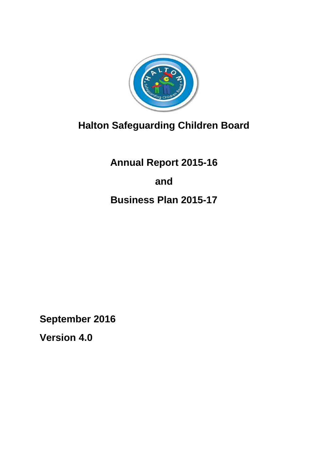

# **Halton Safeguarding Children Board**

**Annual Report 2015-16 and Business Plan 2015-17**

**September 2016**

**Version 4.0**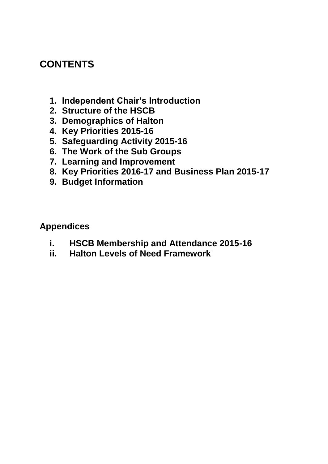## **CONTENTS**

- **1. Independent Chair's Introduction**
- **2. Structure of the HSCB**
- **3. Demographics of Halton**
- **4. Key Priorities 2015-16**
- **5. Safeguarding Activity 2015-16**
- **6. The Work of the Sub Groups**
- **7. Learning and Improvement**
- **8. Key Priorities 2016-17 and Business Plan 2015-17**
- **9. Budget Information**

**Appendices**

- **i. HSCB Membership and Attendance 2015-16**
- **ii. Halton Levels of Need Framework**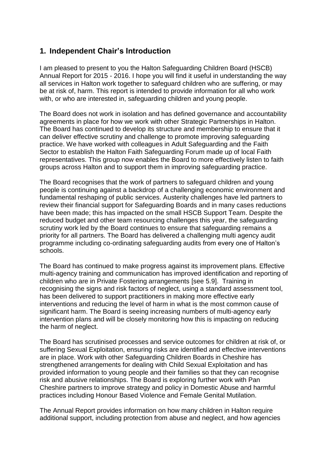## **1. Independent Chair's Introduction**

I am pleased to present to you the Halton Safeguarding Children Board (HSCB) Annual Report for 2015 - 2016. I hope you will find it useful in understanding the way all services in Halton work together to safeguard children who are suffering, or may be at risk of, harm. This report is intended to provide information for all who work with, or who are interested in, safeguarding children and young people.

The Board does not work in isolation and has defined governance and accountability agreements in place for how we work with other Strategic Partnerships in Halton. The Board has continued to develop its structure and membership to ensure that it can deliver effective scrutiny and challenge to promote improving safeguarding practice. We have worked with colleagues in Adult Safeguarding and the Faith Sector to establish the Halton Faith Safeguarding Forum made up of local Faith representatives. This group now enables the Board to more effectively listen to faith groups across Halton and to support them in improving safeguarding practice.

The Board recognises that the work of partners to safeguard children and young people is continuing against a backdrop of a challenging economic environment and fundamental reshaping of public services. Austerity challenges have led partners to review their financial support for Safeguarding Boards and in many cases reductions have been made; this has impacted on the small HSCB Support Team. Despite the reduced budget and other team resourcing challenges this year, the safeguarding scrutiny work led by the Board continues to ensure that safeguarding remains a priority for all partners. The Board has delivered a challenging multi agency audit programme including co-ordinating safeguarding audits from every one of Halton's schools.

The Board has continued to make progress against its improvement plans. Effective multi-agency training and communication has improved identification and reporting of children who are in Private Fostering arrangements [see 5.9]. Training in recognising the signs and risk factors of neglect, using a standard assessment tool, has been delivered to support practitioners in making more effective early interventions and reducing the level of harm in what is the most common cause of significant harm. The Board is seeing increasing numbers of multi-agency early intervention plans and will be closely monitoring how this is impacting on reducing the harm of neglect.

The Board has scrutinised processes and service outcomes for children at risk of, or suffering Sexual Exploitation, ensuring risks are identified and effective interventions are in place. Work with other Safeguarding Children Boards in Cheshire has strengthened arrangements for dealing with Child Sexual Exploitation and has provided information to young people and their families so that they can recognise risk and abusive relationships. The Board is exploring further work with Pan Cheshire partners to improve strategy and policy in Domestic Abuse and harmful practices including Honour Based Violence and Female Genital Mutilation.

The Annual Report provides information on how many children in Halton require additional support, including protection from abuse and neglect, and how agencies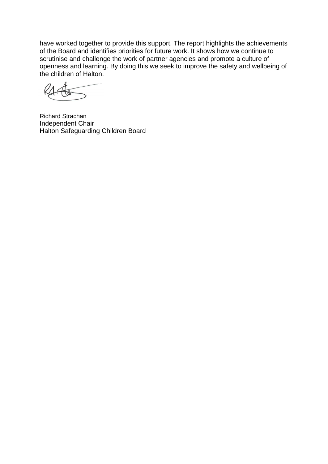have worked together to provide this support. The report highlights the achievements of the Board and identifies priorities for future work. It shows how we continue to scrutinise and challenge the work of partner agencies and promote a culture of openness and learning. By doing this we seek to improve the safety and wellbeing of the children of Halton.

Richard Strachan Independent Chair Halton Safeguarding Children Board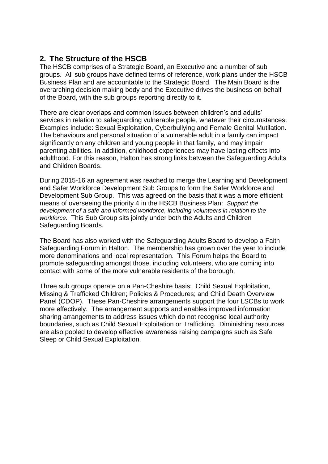## **2. The Structure of the HSCB**

The HSCB comprises of a Strategic Board, an Executive and a number of sub groups. All sub groups have defined terms of reference, work plans under the HSCB Business Plan and are accountable to the Strategic Board. The Main Board is the overarching decision making body and the Executive drives the business on behalf of the Board, with the sub groups reporting directly to it.

There are clear overlaps and common issues between children's and adults' services in relation to safeguarding vulnerable people, whatever their circumstances. Examples include: Sexual Exploitation, Cyberbullying and Female Genital Mutilation. The behaviours and personal situation of a vulnerable adult in a family can impact significantly on any children and young people in that family, and may impair parenting abilities. In addition, childhood experiences may have lasting effects into adulthood. For this reason, Halton has strong links between the Safeguarding Adults and Children Boards.

During 2015-16 an agreement was reached to merge the Learning and Development and Safer Workforce Development Sub Groups to form the Safer Workforce and Development Sub Group. This was agreed on the basis that it was a more efficient means of overseeing the priority 4 in the HSCB Business Plan: *Support the development of a safe and informed workforce, including volunteers in relation to the workforce.* This Sub Group sits jointly under both the Adults and Children Safeguarding Boards.

The Board has also worked with the Safeguarding Adults Board to develop a Faith Safeguarding Forum in Halton. The membership has grown over the year to include more denominations and local representation. This Forum helps the Board to promote safeguarding amongst those, including volunteers, who are coming into contact with some of the more vulnerable residents of the borough.

Three sub groups operate on a Pan-Cheshire basis: Child Sexual Exploitation, Missing & Trafficked Children; Policies & Procedures; and Child Death Overview Panel (CDOP). These Pan-Cheshire arrangements support the four LSCBs to work more effectively. The arrangement supports and enables improved information sharing arrangements to address issues which do not recognise local authority boundaries, such as Child Sexual Exploitation or Trafficking. Diminishing resources are also pooled to develop effective awareness raising campaigns such as Safe Sleep or Child Sexual Exploitation.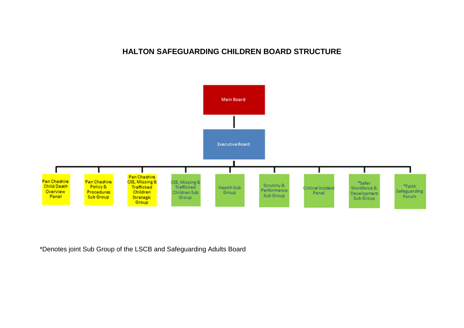#### **HALTON SAFEGUARDING CHILDREN BOARD STRUCTURE**



\*Denotes joint Sub Group of the LSCB and Safeguarding Adults Board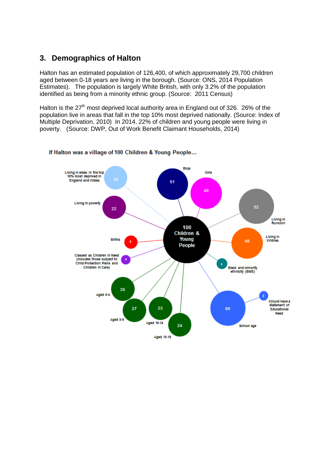## **3. Demographics of Halton**

Halton has an estimated population of 126,400, of which approximately 29,700 children aged between 0-18 years are living in the borough. (Source: ONS, 2014 Population Estimates). The population is largely White British, with only 3.2% of the population identified as being from a minority ethnic group. (Source: 2011 Census)

Halton is the  $27<sup>th</sup>$  most deprived local authority area in England out of 326. 26% of the population live in areas that fall in the top 10% most deprived nationally. (Source: Index of Multiple Deprivation, 2010) In 2014, 22% of children and young people were living in poverty. (Source: DWP, Out of Work Benefit Claimant Households, 2014)



#### If Halton was a village of 100 Children & Young People...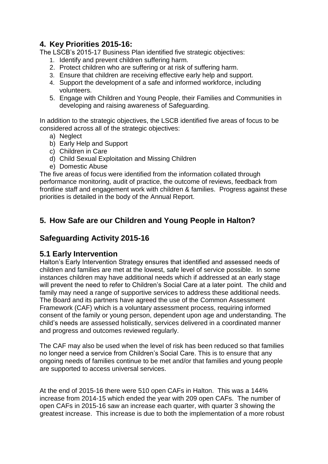## **4. Key Priorities 2015-16:**

The LSCB's 2015-17 Business Plan identified five strategic objectives:

- 1. Identify and prevent children suffering harm.
- 2. Protect children who are suffering or at risk of suffering harm.
- 3. Ensure that children are receiving effective early help and support.
- 4. Support the development of a safe and informed workforce, including volunteers.
- 5. Engage with Children and Young People, their Families and Communities in developing and raising awareness of Safeguarding.

In addition to the strategic objectives, the LSCB identified five areas of focus to be considered across all of the strategic objectives:

- a) Neglect
- b) Early Help and Support
- c) Children in Care
- d) Child Sexual Exploitation and Missing Children
- e) Domestic Abuse

The five areas of focus were identified from the information collated through performance monitoring, audit of practice, the outcome of reviews, feedback from frontline staff and engagement work with children & families. Progress against these priorities is detailed in the body of the Annual Report.

## **5. How Safe are our Children and Young People in Halton?**

## **Safeguarding Activity 2015-16**

## **5.1 Early Intervention**

Halton's Early Intervention Strategy ensures that identified and assessed needs of children and families are met at the lowest, safe level of service possible. In some instances children may have additional needs which if addressed at an early stage will prevent the need to refer to Children's Social Care at a later point. The child and family may need a range of supportive services to address these additional needs. The Board and its partners have agreed the use of the Common Assessment Framework (CAF) which is a voluntary assessment process, requiring informed consent of the family or young person, dependent upon age and understanding. The child's needs are assessed holistically, services delivered in a coordinated manner and progress and outcomes reviewed regularly.

The CAF may also be used when the level of risk has been reduced so that families no longer need a service from Children's Social Care. This is to ensure that any ongoing needs of families continue to be met and/or that families and young people are supported to access universal services.

At the end of 2015-16 there were 510 open CAFs in Halton. This was a 144% increase from 2014-15 which ended the year with 209 open CAFs. The number of open CAFs in 2015-16 saw an increase each quarter, with quarter 3 showing the greatest increase. This increase is due to both the implementation of a more robust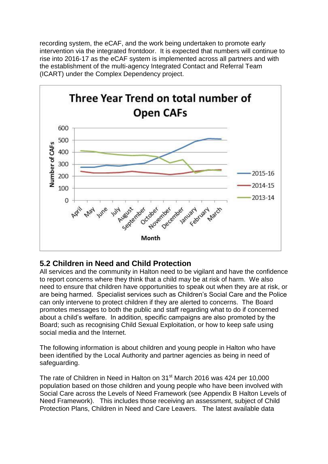recording system, the eCAF, and the work being undertaken to promote early intervention via the integrated frontdoor. It is expected that numbers will continue to rise into 2016-17 as the eCAF system is implemented across all partners and with the establishment of the multi-agency Integrated Contact and Referral Team (ICART) under the Complex Dependency project.



## **5.2 Children in Need and Child Protection**

All services and the community in Halton need to be vigilant and have the confidence to report concerns where they think that a child may be at risk of harm. We also need to ensure that children have opportunities to speak out when they are at risk, or are being harmed. Specialist services such as Children's Social Care and the Police can only intervene to protect children if they are alerted to concerns. The Board promotes messages to both the public and staff regarding what to do if concerned about a child's welfare. In addition, specific campaigns are also promoted by the Board; such as recognising Child Sexual Exploitation, or how to keep safe using social media and the Internet.

The following information is about children and young people in Halton who have been identified by the Local Authority and partner agencies as being in need of safeguarding.

The rate of Children in Need in Halton on 31<sup>st</sup> March 2016 was 424 per 10,000 population based on those children and young people who have been involved with Social Care across the Levels of Need Framework (see Appendix B Halton Levels of Need Framework). This includes those receiving an assessment, subject of Child Protection Plans, Children in Need and Care Leavers. The latest available data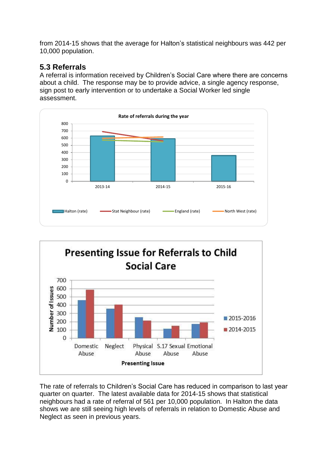from 2014-15 shows that the average for Halton's statistical neighbours was 442 per 10,000 population.

## **5.3 Referrals**

A referral is information received by Children's Social Care where there are concerns about a child. The response may be to provide advice, a single agency response, sign post to early intervention or to undertake a Social Worker led single assessment.





The rate of referrals to Children's Social Care has reduced in comparison to last year quarter on quarter. The latest available data for 2014-15 shows that statistical neighbours had a rate of referral of 561 per 10,000 population. In Halton the data shows we are still seeing high levels of referrals in relation to Domestic Abuse and Neglect as seen in previous years.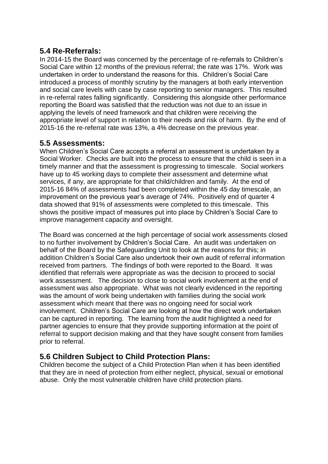## **5.4 Re-Referrals:**

In 2014-15 the Board was concerned by the percentage of re-referrals to Children's Social Care within 12 months of the previous referral; the rate was 17%. Work was undertaken in order to understand the reasons for this. Children's Social Care introduced a process of monthly scrutiny by the managers at both early intervention and social care levels with case by case reporting to senior managers. This resulted in re-referral rates falling significantly. Considering this alongside other performance reporting the Board was satisfied that the reduction was not due to an issue in applying the levels of need framework and that children were receiving the appropriate level of support in relation to their needs and risk of harm. By the end of 2015-16 the re-referral rate was 13%, a 4% decrease on the previous year.

### **5.5 Assessments:**

When Children's Social Care accepts a referral an assessment is undertaken by a Social Worker. Checks are built into the process to ensure that the child is seen in a timely manner and that the assessment is progressing to timescale. Social workers have up to 45 working days to complete their assessment and determine what services, if any, are appropriate for that child/children and family. At the end of 2015-16 84% of assessments had been completed within the 45 day timescale, an improvement on the previous year's average of 74%. Positively end of quarter 4 data showed that 91% of assessments were completed to this timescale. This shows the positive impact of measures put into place by Children's Social Care to improve management capacity and oversight.

The Board was concerned at the high percentage of social work assessments closed to no further involvement by Children's Social Care. An audit was undertaken on behalf of the Board by the Safeguarding Unit to look at the reasons for this; in addition Children's Social Care also undertook their own audit of referral information received from partners. The findings of both were reported to the Board. It was identified that referrals were appropriate as was the decision to proceed to social work assessment. The decision to close to social work involvement at the end of assessment was also appropriate. What was not clearly evidenced in the reporting was the amount of work being undertaken with families during the social work assessment which meant that there was no ongoing need for social work involvement. Children's Social Care are looking at how the direct work undertaken can be captured in reporting. The learning from the audit highlighted a need for partner agencies to ensure that they provide supporting information at the point of referral to support decision making and that they have sought consent from families prior to referral.

## **5.6 Children Subject to Child Protection Plans:**

Children become the subject of a Child Protection Plan when it has been identified that they are in need of protection from either neglect, physical, sexual or emotional abuse. Only the most vulnerable children have child protection plans.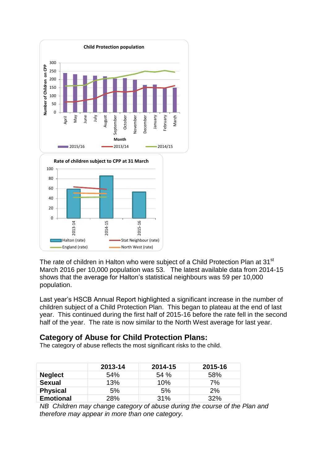

The rate of children in Halton who were subject of a Child Protection Plan at 31<sup>st</sup> March 2016 per 10,000 population was 53. The latest available data from 2014-15 shows that the average for Halton's statistical neighbours was 59 per 10,000 population.

Last year's HSCB Annual Report highlighted a significant increase in the number of children subject of a Child Protection Plan. This began to plateau at the end of last year. This continued during the first half of 2015-16 before the rate fell in the second half of the year. The rate is now similar to the North West average for last year.

#### **Category of Abuse for Child Protection Plans:**

The category of abuse reflects the most significant risks to the child.

|                  | 2013-14 | 2014-15 | 2015-16 |
|------------------|---------|---------|---------|
| <b>Neglect</b>   | 54%     | 54%     | 58%     |
| <b>Sexual</b>    | 13%     | 10%     | 7%      |
| <b>Physical</b>  | 5%      | 5%      | 2%      |
| <b>Emotional</b> | 28%     | 31%     | 32%     |

*NB Children may change category of abuse during the course of the Plan and therefore may appear in more than one category.*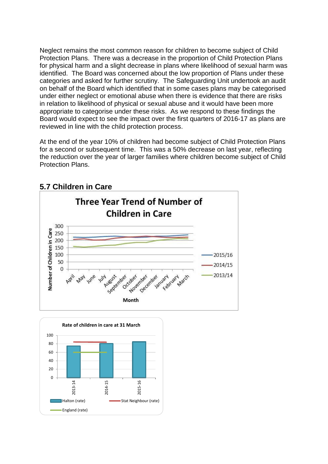Neglect remains the most common reason for children to become subject of Child Protection Plans. There was a decrease in the proportion of Child Protection Plans for physical harm and a slight decrease in plans where likelihood of sexual harm was identified. The Board was concerned about the low proportion of Plans under these categories and asked for further scrutiny. The Safeguarding Unit undertook an audit on behalf of the Board which identified that in some cases plans may be categorised under either neglect or emotional abuse when there is evidence that there are risks in relation to likelihood of physical or sexual abuse and it would have been more appropriate to categorise under these risks. As we respond to these findings the Board would expect to see the impact over the first quarters of 2016-17 as plans are reviewed in line with the child protection process.

At the end of the year 10% of children had become subject of Child Protection Plans for a second or subsequent time. This was a 50% decrease on last year, reflecting the reduction over the year of larger families where children become subject of Child Protection Plans.



## **5.7 Children in Care**

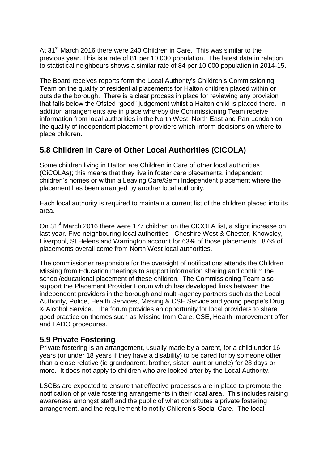At 31<sup>st</sup> March 2016 there were 240 Children in Care. This was similar to the previous year. This is a rate of 81 per 10,000 population. The latest data in relation to statistical neighbours shows a similar rate of 84 per 10,000 population in 2014-15.

The Board receives reports form the Local Authority's Children's Commissioning Team on the quality of residential placements for Halton children placed within or outside the borough. There is a clear process in place for reviewing any provision that falls below the Ofsted "good" judgement whilst a Halton child is placed there. In addition arrangements are in place whereby the Commissioning Team receive information from local authorities in the North West, North East and Pan London on the quality of independent placement providers which inform decisions on where to place children.

## **5.8 Children in Care of Other Local Authorities (CiCOLA)**

Some children living in Halton are Children in Care of other local authorities (CiCOLAs); this means that they live in foster care placements, independent children's homes or within a Leaving Care/Semi Independent placement where the placement has been arranged by another local authority.

Each local authority is required to maintain a current list of the children placed into its area.

On 31<sup>st</sup> March 2016 there were 177 children on the CICOLA list, a slight increase on last year. Five neighbouring local authorities - Cheshire West & Chester, Knowsley, Liverpool, St Helens and Warrington account for 63% of those placements. 87% of placements overall come from North West local authorities.

The commissioner responsible for the oversight of notifications attends the Children Missing from Education meetings to support information sharing and confirm the school/educational placement of these children. The Commissioning Team also support the Placement Provider Forum which has developed links between the independent providers in the borough and multi-agency partners such as the Local Authority, Police, Health Services, Missing & CSE Service and young people's Drug & Alcohol Service. The forum provides an opportunity for local providers to share good practice on themes such as Missing from Care, CSE, Health Improvement offer and LADO procedures.

#### **5.9 Private Fostering**

Private fostering is an arrangement, usually made by a parent, for a child under 16 years (or under 18 years if they have a disability) to be cared for by someone other than a close relative (ie grandparent, brother, sister, aunt or uncle) for 28 days or more. It does not apply to children who are looked after by the Local Authority.

LSCBs are expected to ensure that effective processes are in place to promote the notification of private fostering arrangements in their local area. This includes raising awareness amongst staff and the public of what constitutes a private fostering arrangement, and the requirement to notify Children's Social Care. The local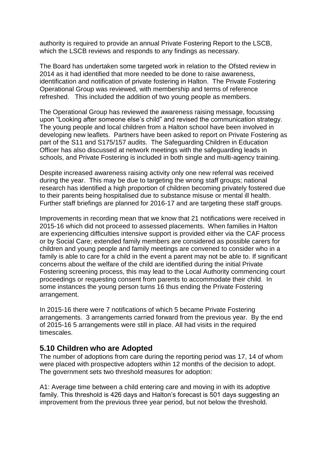authority is required to provide an annual Private Fostering Report to the LSCB, which the LSCB reviews and responds to any findings as necessary.

The Board has undertaken some targeted work in relation to the Ofsted review in 2014 as it had identified that more needed to be done to raise awareness, identification and notification of private fostering in Halton. The Private Fostering Operational Group was reviewed, with membership and terms of reference refreshed. This included the addition of two young people as members.

The Operational Group has reviewed the awareness raising message, focussing upon "Looking after someone else's child" and revised the communication strategy. The young people and local children from a Halton school have been involved in developing new leaflets. Partners have been asked to report on Private Fostering as part of the S11 and S175/157 audits. The Safeguarding Children in Education Officer has also discussed at network meetings with the safeguarding leads in schools, and Private Fostering is included in both single and multi-agency training.

Despite increased awareness raising activity only one new referral was received during the year. This may be due to targeting the wrong staff groups; national research has identified a high proportion of children becoming privately fostered due to their parents being hospitalised due to substance misuse or mental ill health. Further staff briefings are planned for 2016-17 and are targeting these staff groups.

Improvements in recording mean that we know that 21 notifications were received in 2015-16 which did not proceed to assessed placements. When families in Halton are experiencing difficulties intensive support is provided either via the CAF process or by Social Care; extended family members are considered as possible carers for children and young people and family meetings are convened to consider who in a family is able to care for a child in the event a parent may not be able to. If significant concerns about the welfare of the child are identified during the initial Private Fostering screening process, this may lead to the Local Authority commencing court proceedings or requesting consent from parents to accommodate their child. In some instances the young person turns 16 thus ending the Private Fostering arrangement.

In 2015-16 there were 7 notifications of which 5 became Private Fostering arrangements. 3 arrangements carried forward from the previous year. By the end of 2015-16 5 arrangements were still in place. All had visits in the required timescales.

#### **5.10 Children who are Adopted**

The number of adoptions from care during the reporting period was 17, 14 of whom were placed with prospective adopters within 12 months of the decision to adopt. The government sets two threshold measures for adoption:

A1: Average time between a child entering care and moving in with its adoptive family. This threshold is 426 days and Halton's forecast is 501 days suggesting an improvement from the previous three year period, but not below the threshold.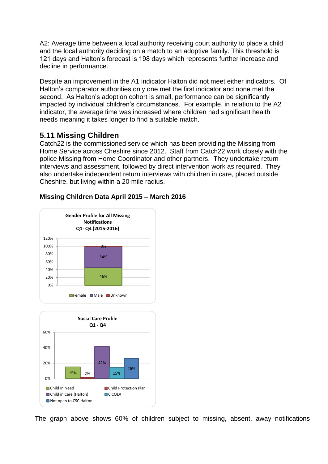A2: Average time between a local authority receiving court authority to place a child and the local authority deciding on a match to an adoptive family. This threshold is 121 days and Halton's forecast is 198 days which represents further increase and decline in performance.

Despite an improvement in the A1 indicator Halton did not meet either indicators. Of Halton's comparator authorities only one met the first indicator and none met the second. As Halton's adoption cohort is small, performance can be significantly impacted by individual children's circumstances. For example, in relation to the A2 indicator, the average time was increased where children had significant health needs meaning it takes longer to find a suitable match.

### **5.11 Missing Children**

Catch22 is the commissioned service which has been providing the Missing from Home Service across Cheshire since 2012. Staff from Catch22 work closely with the police Missing from Home Coordinator and other partners. They undertake return interviews and assessment, followed by direct intervention work as required. They also undertake independent return interviews with children in care, placed outside Cheshire, but living within a 20 mile radius.



#### **Missing Children Data April 2015 – March 2016**



The graph above shows 60% of children subject to missing, absent, away notifications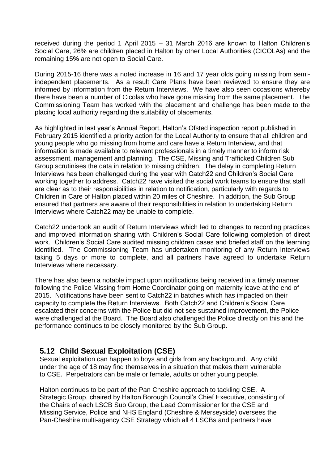received during the period 1 April 2015 – 31 March 2016 are known to Halton Children's Social Care, 26% are children placed in Halton by other Local Authorities (CICOLAs) and the remaining 15**%** are not open to Social Care.

During 2015-16 there was a noted increase in 16 and 17 year olds going missing from semiindependent placements. As a result Care Plans have been reviewed to ensure they are informed by information from the Return Interviews. We have also seen occasions whereby there have been a number of Cicolas who have gone missing from the same placement. The Commissioning Team has worked with the placement and challenge has been made to the placing local authority regarding the suitability of placements.

As highlighted in last year's Annual Report, Halton's Ofsted inspection report published in February 2015 identified a priority action for the Local Authority to ensure that all children and young people who go missing from home and care have a Return Interview, and that information is made available to relevant professionals in a timely manner to inform risk assessment, management and planning. The CSE, Missing and Trafficked Children Sub Group scrutinises the data in relation to missing children. The delay in completing Return Interviews has been challenged during the year with Catch22 and Children's Social Care working together to address. Catch22 have visited the social work teams to ensure that staff are clear as to their responsibilities in relation to notification, particularly with regards to Children in Care of Halton placed within 20 miles of Cheshire. In addition, the Sub Group ensured that partners are aware of their responsibilities in relation to undertaking Return Interviews where Catch22 may be unable to complete.

Catch22 undertook an audit of Return Interviews which led to changes to recording practices and improved information sharing with Children's Social Care following completion of direct work. Children's Social Care audited missing children cases and briefed staff on the learning identified. The Commissioning Team has undertaken monitoring of any Return Interviews taking 5 days or more to complete, and all partners have agreed to undertake Return Interviews where necessary.

There has also been a notable impact upon notifications being received in a timely manner following the Police Missing from Home Coordinator going on maternity leave at the end of 2015. Notifications have been sent to Catch22 in batches which has impacted on their capacity to complete the Return Interviews. Both Catch22 and Children's Social Care escalated their concerns with the Police but did not see sustained improvement, the Police were challenged at the Board. The Board also challenged the Police directly on this and the performance continues to be closely monitored by the Sub Group.

#### **5.12 Child Sexual Exploitation (CSE)**

Sexual exploitation can happen to boys and girls from any background. Any child under the age of 18 may find themselves in a situation that makes them vulnerable to CSE. Perpetrators can be male or female, adults or other young people.

Halton continues to be part of the Pan Cheshire approach to tackling CSE. A Strategic Group, chaired by Halton Borough Council's Chief Executive, consisting of the Chairs of each LSCB Sub Group, the Lead Commissioner for the CSE and Missing Service, Police and NHS England (Cheshire & Merseyside) oversees the Pan-Cheshire multi-agency CSE Strategy which all 4 LSCBs and partners have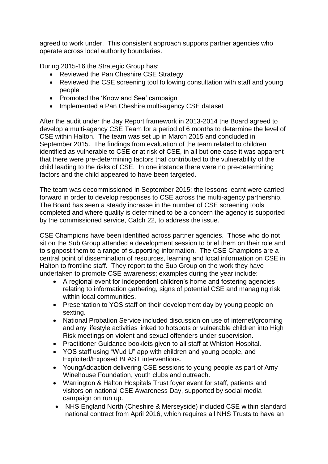agreed to work under. This consistent approach supports partner agencies who operate across local authority boundaries.

During 2015-16 the Strategic Group has:

- Reviewed the Pan Cheshire CSE Strategy
- Reviewed the CSE screening tool following consultation with staff and young people
- Promoted the 'Know and See' campaign
- Implemented a Pan Cheshire multi-agency CSE dataset

After the audit under the Jay Report framework in 2013-2014 the Board agreed to develop a multi-agency CSE Team for a period of 6 months to determine the level of CSE within Halton. The team was set up in March 2015 and concluded in September 2015. The findings from evaluation of the team related to children identified as vulnerable to CSE or at risk of CSE, in all but one case it was apparent that there were pre-determining factors that contributed to the vulnerability of the child leading to the risks of CSE. In one instance there were no pre-determining factors and the child appeared to have been targeted.

The team was decommissioned in September 2015; the lessons learnt were carried forward in order to develop responses to CSE across the multi-agency partnership. The Board has seen a steady increase in the number of CSE screening tools completed and where quality is determined to be a concern the agency is supported by the commissioned service, Catch 22, to address the issue.

CSE Champions have been identified across partner agencies. Those who do not sit on the Sub Group attended a development session to brief them on their role and to signpost them to a range of supporting information. The CSE Champions are a central point of dissemination of resources, learning and local information on CSE in Halton to frontline staff. They report to the Sub Group on the work they have undertaken to promote CSE awareness; examples during the year include:

- A regional event for independent children's home and fostering agencies relating to information gathering, signs of potential CSE and managing risk within local communities.
- Presentation to YOS staff on their development day by young people on sexting.
- National Probation Service included discussion on use of internet/grooming and any lifestyle activities linked to hotspots or vulnerable children into High Risk meetings on violent and sexual offenders under supervision.
- Practitioner Guidance booklets given to all staff at Whiston Hospital.
- YOS staff using "Wud U" app with children and young people, and Exploited/Exposed BLAST interventions.
- YoungAddaction delivering CSE sessions to young people as part of Amy Winehouse Foundation, youth clubs and outreach.
- Warrington & Halton Hospitals Trust foyer event for staff, patients and visitors on national CSE Awareness Day, supported by social media campaign on run up.
- NHS England North (Cheshire & Merseyside) included CSE within standard national contract from April 2016, which requires all NHS Trusts to have an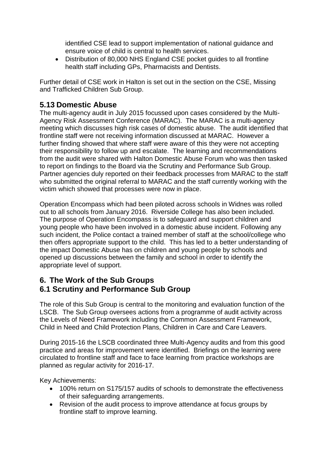identified CSE lead to support implementation of national guidance and ensure voice of child is central to health services.

 Distribution of 80,000 NHS England CSE pocket guides to all frontline health staff including GPs, Pharmacists and Dentists.

Further detail of CSE work in Halton is set out in the section on the CSE, Missing and Trafficked Children Sub Group.

## **5.13 Domestic Abuse**

The multi-agency audit in July 2015 focussed upon cases considered by the Multi-Agency Risk Assessment Conference (MARAC). The MARAC is a multi-agency meeting which discusses high risk cases of domestic abuse. The audit identified that frontline staff were not receiving information discussed at MARAC. However a further finding showed that where staff were aware of this they were not accepting their responsibility to follow up and escalate. The learning and recommendations from the audit were shared with Halton Domestic Abuse Forum who was then tasked to report on findings to the Board via the Scrutiny and Performance Sub Group. Partner agencies duly reported on their feedback processes from MARAC to the staff who submitted the original referral to MARAC and the staff currently working with the victim which showed that processes were now in place.

Operation Encompass which had been piloted across schools in Widnes was rolled out to all schools from January 2016. Riverside College has also been included. The purpose of Operation Encompass is to safeguard and support children and young people who have been involved in a domestic abuse incident. Following any such incident, the Police contact a trained member of staff at the school/college who then offers appropriate support to the child. This has led to a better understanding of the impact Domestic Abuse has on children and young people by schools and opened up discussions between the family and school in order to identify the appropriate level of support.

## **6. The Work of the Sub Groups 6.1 Scrutiny and Performance Sub Group**

The role of this Sub Group is central to the monitoring and evaluation function of the LSCB. The Sub Group oversees actions from a programme of audit activity across the Levels of Need Framework including the Common Assessment Framework, Child in Need and Child Protection Plans, Children in Care and Care Leavers.

During 2015-16 the LSCB coordinated three Multi-Agency audits and from this good practice and areas for improvement were identified. Briefings on the learning were circulated to frontline staff and face to face learning from practice workshops are planned as regular activity for 2016-17.

Key Achievements:

- 100% return on S175/157 audits of schools to demonstrate the effectiveness of their safeguarding arrangements.
- Revision of the audit process to improve attendance at focus groups by frontline staff to improve learning.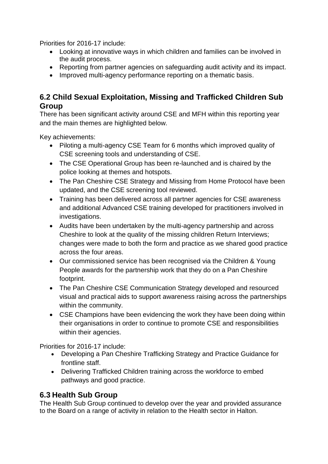Priorities for 2016-17 include:

- Looking at innovative ways in which children and families can be involved in the audit process.
- Reporting from partner agencies on safeguarding audit activity and its impact.
- Improved multi-agency performance reporting on a thematic basis.

### **6.2 Child Sexual Exploitation, Missing and Trafficked Children Sub Group**

There has been significant activity around CSE and MFH within this reporting year and the main themes are highlighted below.

Key achievements:

- Piloting a multi-agency CSE Team for 6 months which improved quality of CSE screening tools and understanding of CSE.
- The CSE Operational Group has been re-launched and is chaired by the police looking at themes and hotspots.
- The Pan Cheshire CSE Strategy and Missing from Home Protocol have been updated, and the CSE screening tool reviewed.
- Training has been delivered across all partner agencies for CSE awareness and additional Advanced CSE training developed for practitioners involved in investigations.
- Audits have been undertaken by the multi-agency partnership and across Cheshire to look at the quality of the missing children Return Interviews; changes were made to both the form and practice as we shared good practice across the four areas.
- Our commissioned service has been recognised via the Children & Young People awards for the partnership work that they do on a Pan Cheshire footprint.
- The Pan Cheshire CSE Communication Strategy developed and resourced visual and practical aids to support awareness raising across the partnerships within the community.
- CSE Champions have been evidencing the work they have been doing within their organisations in order to continue to promote CSE and responsibilities within their agencies.

Priorities for 2016-17 include:

- Developing a Pan Cheshire Trafficking Strategy and Practice Guidance for frontline staff.
- Delivering Trafficked Children training across the workforce to embed pathways and good practice.

## **6.3 Health Sub Group**

The Health Sub Group continued to develop over the year and provided assurance to the Board on a range of activity in relation to the Health sector in Halton.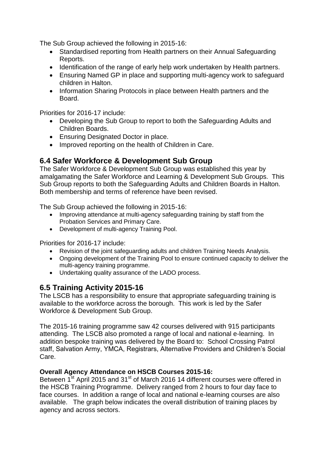The Sub Group achieved the following in 2015-16:

- Standardised reporting from Health partners on their Annual Safeguarding Reports.
- Identification of the range of early help work undertaken by Health partners.
- Ensuring Named GP in place and supporting multi-agency work to safeguard children in Halton.
- Information Sharing Protocols in place between Health partners and the Board.

Priorities for 2016-17 include:

- Developing the Sub Group to report to both the Safeguarding Adults and Children Boards.
- **Ensuring Designated Doctor in place.**
- Improved reporting on the health of Children in Care.

#### **6.4 Safer Workforce & Development Sub Group**

The Safer Workforce & Development Sub Group was established this year by amalgamating the Safer Workforce and Learning & Development Sub Groups. This Sub Group reports to both the Safeguarding Adults and Children Boards in Halton. Both membership and terms of reference have been revised.

The Sub Group achieved the following in 2015-16:

- Improving attendance at multi-agency safeguarding training by staff from the Probation Services and Primary Care.
- Development of multi-agency Training Pool.

Priorities for 2016-17 include:

- Revision of the joint safeguarding adults and children Training Needs Analysis.
- Ongoing development of the Training Pool to ensure continued capacity to deliver the multi-agency training programme.
- Undertaking quality assurance of the LADO process.

#### **6.5 Training Activity 2015-16**

The LSCB has a responsibility to ensure that appropriate safeguarding training is available to the workforce across the borough. This work is led by the Safer Workforce & Development Sub Group.

The 2015-16 training programme saw 42 courses delivered with 915 participants attending. The LSCB also promoted a range of local and national e-learning. In addition bespoke training was delivered by the Board to: School Crossing Patrol staff, Salvation Army, YMCA, Registrars, Alternative Providers and Children's Social Care.

#### **Overall Agency Attendance on HSCB Courses 2015-16:**

Between  $1^{st}$  April 2015 and 31<sup>st</sup> of March 2016 14 different courses were offered in the HSCB Training Programme. Delivery ranged from 2 hours to four day face to face courses. In addition a range of local and national e-learning courses are also available. The graph below indicates the overall distribution of training places by agency and across sectors.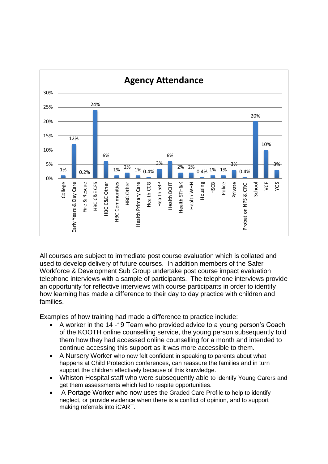

All courses are subject to immediate post course evaluation which is collated and used to develop delivery of future courses. In addition members of the Safer Workforce & Development Sub Group undertake post course impact evaluation telephone interviews with a sample of participants. The telephone interviews provide an opportunity for reflective interviews with course participants in order to identify how learning has made a difference to their day to day practice with children and families.

Examples of how training had made a difference to practice include:

- A worker in the 14 -19 Team who provided advice to a young person's Coach of the KOOTH online counselling service, the young person subsequently told them how they had accessed online counselling for a month and intended to continue accessing this support as it was more accessible to them.
- A Nursery Worker who now felt confident in speaking to parents about what happens at Child Protection conferences, can reassure the families and in turn support the children effectively because of this knowledge.
- Whiston Hospital staff who were subsequently able to identify Young Carers and get them assessments which led to respite opportunities.
- A Portage Worker who now uses the Graded Care Profile to help to identify neglect, or provide evidence when there is a conflict of opinion, and to support making referrals into iCART.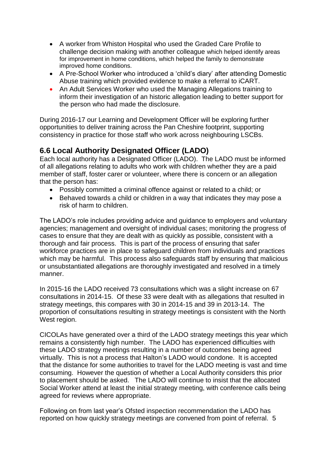- A worker from Whiston Hospital who used the Graded Care Profile to challenge decision making with another colleague which helped identify areas for improvement in home conditions, which helped the family to demonstrate improved home conditions.
- A Pre-School Worker who introduced a 'child's diary' after attending Domestic Abuse training which provided evidence to make a referral to iCART.
- An Adult Services Worker who used the Managing Allegations training to inform their investigation of an historic allegation leading to better support for the person who had made the disclosure.

During 2016-17 our Learning and Development Officer will be exploring further opportunities to deliver training across the Pan Cheshire footprint, supporting consistency in practice for those staff who work across neighbouring LSCBs.

## **6.6 Local Authority Designated Officer (LADO)**

Each local authority has a Designated Officer (LADO). The LADO must be informed of all allegations relating to adults who work with children whether they are a paid member of staff, foster carer or volunteer, where there is concern or an allegation that the person has:

- Possibly committed a criminal offence against or related to a child; or
- Behaved towards a child or children in a way that indicates they may pose a risk of harm to children.

The LADO's role includes providing advice and guidance to employers and voluntary agencies; management and oversight of individual cases; monitoring the progress of cases to ensure that they are dealt with as quickly as possible, consistent with a thorough and fair process. This is part of the process of ensuring that safer workforce practices are in place to safeguard children from individuals and practices which may be harmful. This process also safeguards staff by ensuring that malicious or unsubstantiated allegations are thoroughly investigated and resolved in a timely manner.

In 2015-16 the LADO received 73 consultations which was a slight increase on 67 consultations in 2014-15. Of these 33 were dealt with as allegations that resulted in strategy meetings, this compares with 30 in 2014-15 and 39 in 2013-14. The proportion of consultations resulting in strategy meetings is consistent with the North West region.

CICOLAs have generated over a third of the LADO strategy meetings this year which remains a consistently high number. The LADO has experienced difficulties with these LADO strategy meetings resulting in a number of outcomes being agreed virtually. This is not a process that Halton's LADO would condone. It is accepted that the distance for some authorities to travel for the LADO meeting is vast and time consuming. However the question of whether a Local Authority considers this prior to placement should be asked. The LADO will continue to insist that the allocated Social Worker attend at least the initial strategy meeting, with conference calls being agreed for reviews where appropriate.

Following on from last year's Ofsted inspection recommendation the LADO has reported on how quickly strategy meetings are convened from point of referral. 5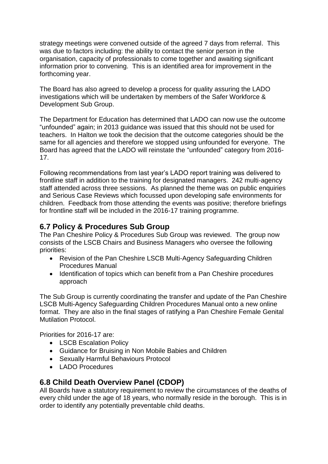strategy meetings were convened outside of the agreed 7 days from referral. This was due to factors including: the ability to contact the senior person in the organisation, capacity of professionals to come together and awaiting significant information prior to convening. This is an identified area for improvement in the forthcoming year.

The Board has also agreed to develop a process for quality assuring the LADO investigations which will be undertaken by members of the Safer Workforce & Development Sub Group.

The Department for Education has determined that LADO can now use the outcome "unfounded" again; in 2013 guidance was issued that this should not be used for teachers. In Halton we took the decision that the outcome categories should be the same for all agencies and therefore we stopped using unfounded for everyone. The Board has agreed that the LADO will reinstate the "unfounded" category from 2016- 17.

Following recommendations from last year's LADO report training was delivered to frontline staff in addition to the training for designated managers. 242 multi-agency staff attended across three sessions. As planned the theme was on public enquiries and Serious Case Reviews which focussed upon developing safe environments for children. Feedback from those attending the events was positive; therefore briefings for frontline staff will be included in the 2016-17 training programme.

## **6.7 Policy & Procedures Sub Group**

The Pan Cheshire Policy & Procedures Sub Group was reviewed. The group now consists of the LSCB Chairs and Business Managers who oversee the following priorities:

- Revision of the Pan Cheshire LSCB Multi-Agency Safeguarding Children Procedures Manual
- Identification of topics which can benefit from a Pan Cheshire procedures approach

The Sub Group is currently coordinating the transfer and update of the Pan Cheshire LSCB Multi-Agency Safeguarding Children Procedures Manual onto a new online format. They are also in the final stages of ratifying a Pan Cheshire Female Genital Mutilation Protocol.

Priorities for 2016-17 are:

- LSCB Escalation Policy
- Guidance for Bruising in Non Mobile Babies and Children
- Sexually Harmful Behaviours Protocol
- LADO Procedures

## **6.8 Child Death Overview Panel (CDOP)**

All Boards have a statutory requirement to review the circumstances of the deaths of every child under the age of 18 years, who normally reside in the borough. This is in order to identify any potentially preventable child deaths.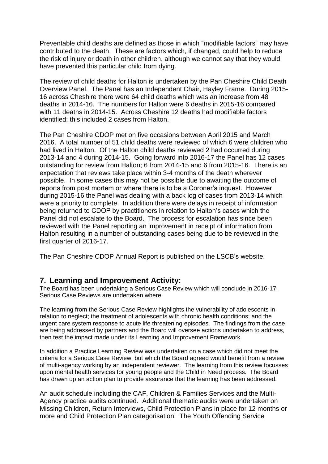Preventable child deaths are defined as those in which "modifiable factors" may have contributed to the death. These are factors which, if changed, could help to reduce the risk of injury or death in other children, although we cannot say that they would have prevented this particular child from dying.

The review of child deaths for Halton is undertaken by the Pan Cheshire Child Death Overview Panel. The Panel has an Independent Chair, Hayley Frame. During 2015- 16 across Cheshire there were 64 child deaths which was an increase from 48 deaths in 2014-16. The numbers for Halton were 6 deaths in 2015-16 compared with 11 deaths in 2014-15. Across Cheshire 12 deaths had modifiable factors identified; this included 2 cases from Halton.

The Pan Cheshire CDOP met on five occasions between April 2015 and March 2016. A total number of 51 child deaths were reviewed of which 6 were children who had lived in Halton. Of the Halton child deaths reviewed 2 had occurred during 2013-14 and 4 during 2014-15. Going forward into 2016-17 the Panel has 12 cases outstanding for review from Halton; 6 from 2014-15 and 6 from 2015-16. There is an expectation that reviews take place within 3-4 months of the death wherever possible. In some cases this may not be possible due to awaiting the outcome of reports from post mortem or where there is to be a Coroner's inquest. However during 2015-16 the Panel was dealing with a back log of cases from 2013-14 which were a priority to complete. In addition there were delays in receipt of information being returned to CDOP by practitioners in relation to Halton's cases which the Panel did not escalate to the Board. The process for escalation has since been reviewed with the Panel reporting an improvement in receipt of information from Halton resulting in a number of outstanding cases being due to be reviewed in the first quarter of 2016-17.

The Pan Cheshire CDOP Annual Report is published on the LSCB's website.

#### **7. Learning and Improvement Activity:**

The Board has been undertaking a Serious Case Review which will conclude in 2016-17. Serious Case Reviews are undertaken where

The learning from the Serious Case Review highlights the vulnerability of adolescents in relation to neglect; the treatment of adolescents with chronic health conditions; and the urgent care system response to acute life threatening episodes. The findings from the case are being addressed by partners and the Board will oversee actions undertaken to address, then test the impact made under its Learning and Improvement Framework.

In addition a Practice Learning Review was undertaken on a case which did not meet the criteria for a Serious Case Review, but which the Board agreed would benefit from a review of multi-agency working by an independent reviewer. The learning from this review focusses upon mental health services for young people and the Child in Need process. The Board has drawn up an action plan to provide assurance that the learning has been addressed.

An audit schedule including the CAF, Children & Families Services and the Multi-Agency practice audits continued. Additional thematic audits were undertaken on Missing Children, Return Interviews, Child Protection Plans in place for 12 months or more and Child Protection Plan categorisation. The Youth Offending Service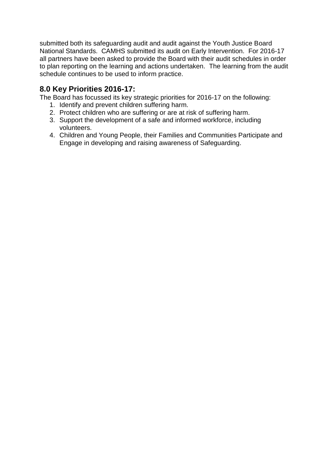submitted both its safeguarding audit and audit against the Youth Justice Board National Standards. CAMHS submitted its audit on Early Intervention. For 2016-17 all partners have been asked to provide the Board with their audit schedules in order to plan reporting on the learning and actions undertaken. The learning from the audit schedule continues to be used to inform practice.

## **8.0 Key Priorities 2016-17:**

The Board has focussed its key strategic priorities for 2016-17 on the following:

- 1. Identify and prevent children suffering harm.
- 2. Protect children who are suffering or are at risk of suffering harm.
- 3. Support the development of a safe and informed workforce, including volunteers.
- 4. Children and Young People, their Families and Communities Participate and Engage in developing and raising awareness of Safeguarding.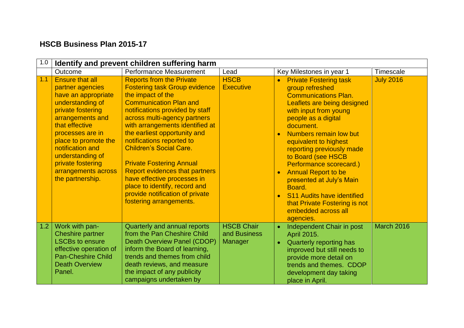## **HSCB Business Plan 2015-17**

| 1.0 |                                                                                                                                                                                                                                                                                                      | Identify and prevent children suffering harm                                                                                                                                                                                                                                                                                                                                                                                                                                                                                                 |                                                     |                                                                                                                                                                                                                                                                                                                                                                                                                                                                                                                            |                   |
|-----|------------------------------------------------------------------------------------------------------------------------------------------------------------------------------------------------------------------------------------------------------------------------------------------------------|----------------------------------------------------------------------------------------------------------------------------------------------------------------------------------------------------------------------------------------------------------------------------------------------------------------------------------------------------------------------------------------------------------------------------------------------------------------------------------------------------------------------------------------------|-----------------------------------------------------|----------------------------------------------------------------------------------------------------------------------------------------------------------------------------------------------------------------------------------------------------------------------------------------------------------------------------------------------------------------------------------------------------------------------------------------------------------------------------------------------------------------------------|-------------------|
|     | Outcome                                                                                                                                                                                                                                                                                              | <b>Performance Measurement</b>                                                                                                                                                                                                                                                                                                                                                                                                                                                                                                               | Lead                                                | Key Milestones in year 1                                                                                                                                                                                                                                                                                                                                                                                                                                                                                                   | Timescale         |
| 1.1 | <b>Ensure that all</b><br>partner agencies<br>have an appropriate<br>understanding of<br>private fostering<br>arrangements and<br>that effective<br>processes are in<br>place to promote the<br>notification and<br>understanding of<br>private fostering<br>arrangements across<br>the partnership. | <b>Reports from the Private</b><br><b>Fostering task Group evidence</b><br>the impact of the<br><b>Communication Plan and</b><br>notifications provided by staff<br>across multi-agency partners<br>with arrangements identified at<br>the earliest opportunity and<br>notifications reported to<br><b>Children's Social Care.</b><br><b>Private Fostering Annual</b><br><b>Report evidences that partners</b><br>have effective processes in<br>place to identify, record and<br>provide notification of private<br>fostering arrangements. | <b>HSCB</b><br><b>Executive</b>                     | <b>Private Fostering task</b><br>$\bullet$<br>group refreshed<br><b>Communications Plan.</b><br>Leaflets are being designed<br>with input from young<br>people as a digital<br>document.<br>Numbers remain low but<br>$\bullet$<br>equivalent to highest<br>reporting previously made<br>to Board (see HSCB<br>Performance scorecard.)<br><b>Annual Report to be</b><br>presented at July's Main<br>Board.<br>S11 Audits have identified<br>$\bullet$<br>that Private Fostering is not<br>embedded across all<br>agencies. | <b>July 2016</b>  |
| 1.2 | Work with pan-<br><b>Cheshire partner</b><br><b>LSCBs to ensure</b><br>effective operation of<br><b>Pan-Cheshire Child</b><br><b>Death Overview</b><br>Panel.                                                                                                                                        | Quarterly and annual reports<br>from the Pan Cheshire Child<br>Death Overview Panel (CDOP)<br>inform the Board of learning,<br>trends and themes from child<br>death reviews, and measure<br>the impact of any publicity<br>campaigns undertaken by                                                                                                                                                                                                                                                                                          | <b>HSCB Chair</b><br>and Business<br><b>Manager</b> | Independent Chair in post<br>$\bullet$<br>April 2015.<br>Quarterly reporting has<br>$\bullet$<br>improved but still needs to<br>provide more detail on<br>trends and themes. CDOP<br>development day taking<br>place in April.                                                                                                                                                                                                                                                                                             | <b>March 2016</b> |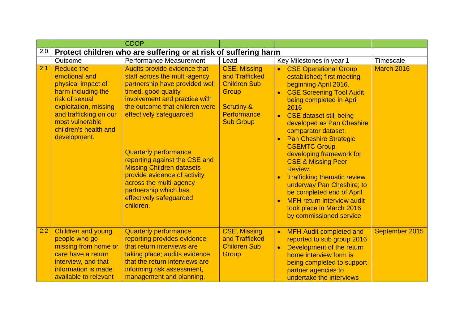|     |                                                                                                                                                                                                                 | CDOP.                                                                                                                                                                                                                                                                                                                                                                                                                                                  |                                                                                                                                   |                                                                                                                                                                                                                                                                                                                                                                                                                                                                                                                                                                                                                                   |                |
|-----|-----------------------------------------------------------------------------------------------------------------------------------------------------------------------------------------------------------------|--------------------------------------------------------------------------------------------------------------------------------------------------------------------------------------------------------------------------------------------------------------------------------------------------------------------------------------------------------------------------------------------------------------------------------------------------------|-----------------------------------------------------------------------------------------------------------------------------------|-----------------------------------------------------------------------------------------------------------------------------------------------------------------------------------------------------------------------------------------------------------------------------------------------------------------------------------------------------------------------------------------------------------------------------------------------------------------------------------------------------------------------------------------------------------------------------------------------------------------------------------|----------------|
| 2.0 |                                                                                                                                                                                                                 | Protect children who are suffering or at risk of suffering harm                                                                                                                                                                                                                                                                                                                                                                                        |                                                                                                                                   |                                                                                                                                                                                                                                                                                                                                                                                                                                                                                                                                                                                                                                   |                |
|     | Outcome                                                                                                                                                                                                         | Performance Measurement                                                                                                                                                                                                                                                                                                                                                                                                                                | Lead                                                                                                                              | Key Milestones in year 1                                                                                                                                                                                                                                                                                                                                                                                                                                                                                                                                                                                                          | Timescale      |
| 2.1 | <b>Reduce the</b><br>emotional and<br>physical impact of<br>harm including the<br>risk of sexual<br>exploitation, missing<br>and trafficking on our<br>most vulnerable<br>children's health and<br>development. | Audits provide evidence that<br>staff across the multi-agency<br>partnership have provided well<br>timed, good quality<br>involvement and practice with<br>the outcome that children were<br>effectively safeguarded.<br><b>Quarterly performance</b><br>reporting against the CSE and<br><b>Missing Children datasets</b><br>provide evidence of activity<br>across the multi-agency<br>partnership which has<br>effectively safeguarded<br>children. | <b>CSE, Missing</b><br>and Trafficked<br><b>Children Sub</b><br>Group<br><b>Scrutiny &amp;</b><br>Performance<br><b>Sub Group</b> | <b>CSE Operational Group</b><br>$\bullet$<br>established; first meeting<br>beginning April 2016.<br><b>CSE Screening Tool Audit</b><br>$\bullet$<br>being completed in April<br>2016<br><b>CSE dataset still being</b><br>$\bullet$<br>developed as Pan Cheshire<br>comparator dataset.<br><b>Pan Cheshire Strategic</b><br><b>CSEMTC Group</b><br>developing framework for<br><b>CSE &amp; Missing Peer</b><br>Review.<br><b>Trafficking thematic review</b><br>underway Pan Cheshire; to<br>be completed end of April.<br><b>MFH return interview audit</b><br>$\bullet$<br>took place in March 2016<br>by commissioned service | March 2016     |
| 2.2 | <b>Children and young</b><br>people who go<br>missing from home or<br>care have a return                                                                                                                        | <b>Quarterly performance</b><br>reporting provides evidence<br>that return interviews are<br>taking place; audits evidence                                                                                                                                                                                                                                                                                                                             | <b>CSE, Missing</b><br>and Trafficked<br><b>Children Sub</b><br>Group                                                             | <b>MFH Audit completed and</b><br>$\bullet$<br>reported to sub group 2016<br>Development of the return<br>$\bullet$<br>home interview form is                                                                                                                                                                                                                                                                                                                                                                                                                                                                                     | September 2015 |
|     | interview, and that<br>information is made<br>available to relevant                                                                                                                                             | that the return interviews are<br>informing risk assessment,<br>management and planning.                                                                                                                                                                                                                                                                                                                                                               |                                                                                                                                   | being completed to support<br>partner agencies to<br>undertake the interviews                                                                                                                                                                                                                                                                                                                                                                                                                                                                                                                                                     |                |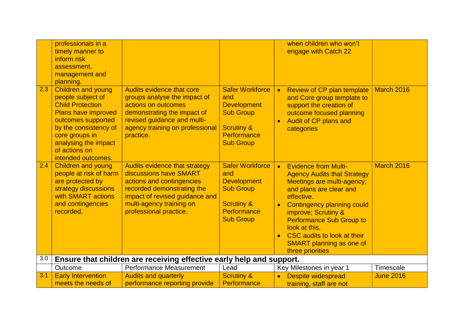|     | professionals in a<br>timely manner to<br>inform risk<br>assessment,<br>management and<br>planning.                                                                                                                                     |                                                                                                                                                                                                            |                                                                                                                                     | when children who won't<br>engage with Catch 22                                                                                                                                                                                                                                                                                                             |                  |
|-----|-----------------------------------------------------------------------------------------------------------------------------------------------------------------------------------------------------------------------------------------|------------------------------------------------------------------------------------------------------------------------------------------------------------------------------------------------------------|-------------------------------------------------------------------------------------------------------------------------------------|-------------------------------------------------------------------------------------------------------------------------------------------------------------------------------------------------------------------------------------------------------------------------------------------------------------------------------------------------------------|------------------|
| 2.3 | <b>Children and young</b><br>people subject of<br><b>Child Protection</b><br><b>Plans have improved</b><br>outcomes supported<br>by the consistency of<br>core groups in<br>analysing the impact<br>of actions on<br>intended outcomes. | Audits evidence that core<br>groups analyse the impact of<br>actions on outcomes<br>demonstrating the impact of<br>revised guidance and multi-<br>agency training on professional<br>practice.             | <b>Safer Workforce</b><br>and<br><b>Development</b><br><b>Sub Group</b><br><b>Scrutiny &amp;</b><br>Performance<br><b>Sub Group</b> | <b>Review of CP plan template</b><br>$\bullet$<br>and Core group template to<br>support the creation of<br>outcome focused planning<br>Audit of CP plans and<br>categories                                                                                                                                                                                  | March 2016       |
| 2.4 | <b>Children and young</b><br>people at risk of harm<br>are protected by<br>strategy discussions<br>with SMART actions<br>and contingencies<br>recorded.                                                                                 | Audits evidence that strategy<br>discussions have SMART<br>actions and contingencies<br>recorded demonstrating the<br>impact of revised guidance and<br>multi-agency training on<br>professional practice. | <b>Safer Workforce</b><br>and<br><b>Development</b><br><b>Sub Group</b><br><b>Scrutiny &amp;</b><br>Performance<br><b>Sub Group</b> | <b>Evidence from Multi-</b><br>$\bullet$<br><b>Agency Audits that Strategy</b><br>Meetings are multi-agency;<br>and plans are clear and<br>effective.<br><b>Contingency planning could</b><br>improve; Scrutiny &<br><b>Performance Sub Group to</b><br>look at this.<br>CSC audits to look at their<br><b>SMART planning as one of</b><br>three priorities | March 2016       |
| 3.0 |                                                                                                                                                                                                                                         | Ensure that children are receiving effective early help and support.                                                                                                                                       |                                                                                                                                     |                                                                                                                                                                                                                                                                                                                                                             |                  |
|     | Outcome                                                                                                                                                                                                                                 | Performance Measurement                                                                                                                                                                                    | Lead                                                                                                                                | Key Milestones in year 1                                                                                                                                                                                                                                                                                                                                    | Timescale        |
| 3.1 | <b>Early Intervention</b><br>meets the needs of                                                                                                                                                                                         | <b>Audits and quarterly</b><br>performance reporting provide                                                                                                                                               | <b>Scrutiny &amp;</b><br>Performance                                                                                                | Despite widespread<br>training, staff are not                                                                                                                                                                                                                                                                                                               | <b>June 2016</b> |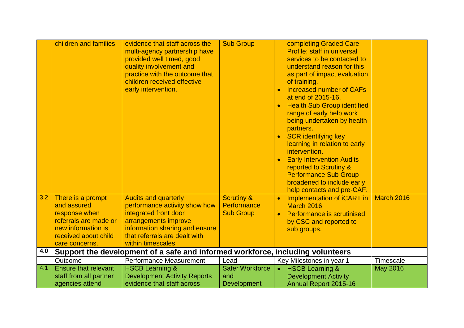| 3.2 | children and families.<br>There is a prompt           | evidence that staff across the<br>multi-agency partnership have<br>provided well timed, good<br>quality involvement and<br>practice with the outcome that<br>children received effective<br>early intervention.<br><b>Audits and quarterly</b> | <b>Sub Group</b><br><b>Scrutiny &amp;</b> | completing Graded Care<br>Profile; staff in universal<br>services to be contacted to<br>understand reason for this<br>as part of impact evaluation<br>of training.<br><b>Increased number of CAFs</b><br>$\bullet$<br>at end of 2015-16.<br><b>Health Sub Group identified</b><br>$\bullet$<br>range of early help work<br>being undertaken by health<br>partners.<br><b>SCR identifying key</b><br>$\bullet$<br>learning in relation to early<br>intervention.<br><b>Early Intervention Audits</b><br>reported to Scrutiny &<br><b>Performance Sub Group</b><br>broadened to include early<br>help contacts and pre-CAF.<br>Implementation of iCART in | <b>March 2016</b> |
|-----|-------------------------------------------------------|------------------------------------------------------------------------------------------------------------------------------------------------------------------------------------------------------------------------------------------------|-------------------------------------------|---------------------------------------------------------------------------------------------------------------------------------------------------------------------------------------------------------------------------------------------------------------------------------------------------------------------------------------------------------------------------------------------------------------------------------------------------------------------------------------------------------------------------------------------------------------------------------------------------------------------------------------------------------|-------------------|
|     | and assured<br>response when<br>referrals are made or | performance activity show how<br>integrated front door<br>arrangements improve                                                                                                                                                                 | Performance<br><b>Sub Group</b>           | March 2016<br><b>Performance is scrutinised</b><br>$\bullet$                                                                                                                                                                                                                                                                                                                                                                                                                                                                                                                                                                                            |                   |
|     | new information is                                    | information sharing and ensure                                                                                                                                                                                                                 |                                           | by CSC and reported to<br>sub groups.                                                                                                                                                                                                                                                                                                                                                                                                                                                                                                                                                                                                                   |                   |
|     | received about child<br>care concerns.                | that referrals are dealt with<br>within timescales.                                                                                                                                                                                            |                                           |                                                                                                                                                                                                                                                                                                                                                                                                                                                                                                                                                                                                                                                         |                   |
| 4.0 |                                                       | Support the development of a safe and informed workforce, including volunteers                                                                                                                                                                 |                                           |                                                                                                                                                                                                                                                                                                                                                                                                                                                                                                                                                                                                                                                         |                   |
|     | Outcome                                               | Performance Measurement                                                                                                                                                                                                                        | Lead                                      | Key Milestones in year 1                                                                                                                                                                                                                                                                                                                                                                                                                                                                                                                                                                                                                                | Timescale         |
| 4.1 | <b>Ensure that relevant</b>                           | <b>HSCB Learning &amp;</b>                                                                                                                                                                                                                     | <b>Safer Workforce</b>                    | <b>HSCB Learning &amp;</b><br>$\bullet$                                                                                                                                                                                                                                                                                                                                                                                                                                                                                                                                                                                                                 | <b>May 2016</b>   |
|     | staff from all partner                                | <b>Development Activity Reports</b>                                                                                                                                                                                                            | and                                       | <b>Development Activity</b>                                                                                                                                                                                                                                                                                                                                                                                                                                                                                                                                                                                                                             |                   |
|     | agencies attend                                       | evidence that staff across                                                                                                                                                                                                                     | <b>Development</b>                        | Annual Report 2015-16                                                                                                                                                                                                                                                                                                                                                                                                                                                                                                                                                                                                                                   |                   |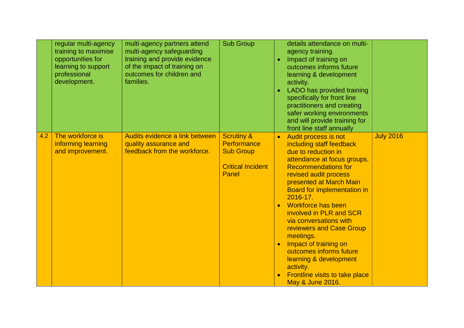|     | regular multi-agency<br>training to maximise<br>opportunities for<br>learning to support<br>professional<br>development. | multi-agency partners attend<br>multi-agency safeguarding<br>training and provide evidence<br>of the impact of training on<br>outcomes for children and<br>families. | <b>Sub Group</b>                                                                              | $\bullet$<br>$\bullet$ | details attendance on multi-<br>agency training.<br>Impact of training on<br>outcomes informs future<br>learning & development<br>activity.<br>LADO has provided training<br>specifically for front line<br>practitioners and creating<br>safer working environments<br>and will provide training for<br>front line staff annually                                                                                                                                                                                   |                  |
|-----|--------------------------------------------------------------------------------------------------------------------------|----------------------------------------------------------------------------------------------------------------------------------------------------------------------|-----------------------------------------------------------------------------------------------|------------------------|----------------------------------------------------------------------------------------------------------------------------------------------------------------------------------------------------------------------------------------------------------------------------------------------------------------------------------------------------------------------------------------------------------------------------------------------------------------------------------------------------------------------|------------------|
| 4.2 | The workforce is<br>informing learning<br>and improvement.                                                               | Audits evidence a link between<br>quality assurance and<br>feedback from the workforce.                                                                              | <b>Scrutiny &amp;</b><br>Performance<br><b>Sub Group</b><br><b>Critical Incident</b><br>Panel | $\bullet$              | Audit process is not<br>including staff feedback<br>due to reduction in<br>attendance at focus groups.<br><b>Recommendations for</b><br>revised audit process<br>presented at March Main<br>Board for implementation in<br>$2016 - 17$ .<br>Workforce has been<br>involved in PLR and SCR<br>via conversations with<br>reviewers and Case Group<br>meetings.<br>Impact of training on<br>outcomes informs future<br>learning & development<br>activity.<br><b>Frontline visits to take place</b><br>May & June 2016. | <b>July 2016</b> |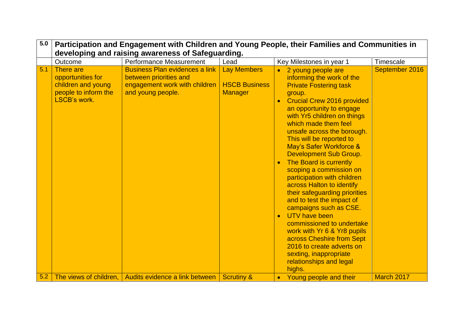| 5.0 | Participation and Engagement with Children and Young People, their Families and Communities in<br>developing and raising awareness of Safeguarding. |                                                                                                                       |                                                              |                                                                                                                                                                                                                                                                                                                                                                                                                                                                                                                                                                                                                                                                                                                                                                            |                |  |  |  |  |
|-----|-----------------------------------------------------------------------------------------------------------------------------------------------------|-----------------------------------------------------------------------------------------------------------------------|--------------------------------------------------------------|----------------------------------------------------------------------------------------------------------------------------------------------------------------------------------------------------------------------------------------------------------------------------------------------------------------------------------------------------------------------------------------------------------------------------------------------------------------------------------------------------------------------------------------------------------------------------------------------------------------------------------------------------------------------------------------------------------------------------------------------------------------------------|----------------|--|--|--|--|
|     | Outcome                                                                                                                                             | Performance Measurement                                                                                               | Lead                                                         | Key Milestones in year 1                                                                                                                                                                                                                                                                                                                                                                                                                                                                                                                                                                                                                                                                                                                                                   | Timescale      |  |  |  |  |
| 5.1 | <b>There</b> are<br>opportunities for<br>children and young<br>people to inform the<br><b>LSCB's work.</b>                                          | <b>Business Plan evidences a link</b><br>between priorities and<br>engagement work with children<br>and young people. | <b>Lay Members</b><br><b>HSCB Business</b><br><b>Manager</b> | 2 young people are<br>$\bullet$<br>informing the work of the<br><b>Private Fostering task</b><br>group.<br><b>Crucial Crew 2016 provided</b><br>an opportunity to engage<br>with Yr5 children on things<br>which made them feel<br>unsafe across the borough.<br>This will be reported to<br>May's Safer Workforce &<br>Development Sub Group.<br>The Board is currently<br>scoping a commission on<br>participation with children<br>across Halton to identify<br>their safeguarding priorities<br>and to test the impact of<br>campaigns such as CSE.<br>UTV have been<br>$\bullet$<br>commissioned to undertake<br>work with Yr 6 & Yr8 pupils<br>across Cheshire from Sept<br>2016 to create adverts on<br>sexting, inappropriate<br>relationships and legal<br>highs. | September 2016 |  |  |  |  |
| 5.2 |                                                                                                                                                     | The views of children, Audits evidence a link between                                                                 | <b>Scrutiny &amp;</b>                                        | Young people and their<br>$\bullet$                                                                                                                                                                                                                                                                                                                                                                                                                                                                                                                                                                                                                                                                                                                                        | March 2017     |  |  |  |  |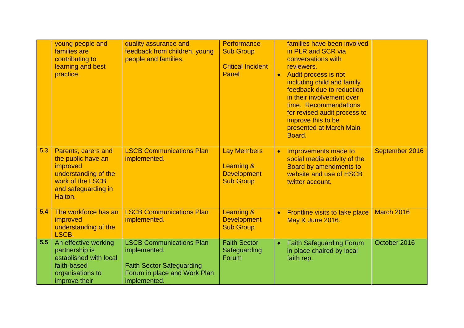|                  | young people and<br>families are<br>contributing to<br>learning and best<br>practice.                                               | quality assurance and<br>feedback from children, young<br>people and families.                                                      | Performance<br><b>Sub Group</b><br><b>Critical Incident</b><br>Panel       | $\bullet$ | families have been involved<br>in PLR and SCR via<br>conversations with<br>reviewers.<br>Audit process is not<br>including child and family<br>feedback due to reduction<br>in their involvement over<br>time. Recommendations<br>for revised audit process to<br>improve this to be<br>presented at March Main<br>Board. |                |
|------------------|-------------------------------------------------------------------------------------------------------------------------------------|-------------------------------------------------------------------------------------------------------------------------------------|----------------------------------------------------------------------------|-----------|---------------------------------------------------------------------------------------------------------------------------------------------------------------------------------------------------------------------------------------------------------------------------------------------------------------------------|----------------|
| 5.3              | Parents, carers and<br>the public have an<br>improved<br>understanding of the<br>work of the LSCB<br>and safeguarding in<br>Halton. | <b>LSCB Communications Plan</b><br>implemented.                                                                                     | <b>Lay Members</b><br>Learning &<br><b>Development</b><br><b>Sub Group</b> | $\bullet$ | Improvements made to<br>social media activity of the<br>Board by amendments to<br>website and use of HSCB<br>twitter account.                                                                                                                                                                                             | September 2016 |
| 5.4              | The workforce has an<br>improved<br>understanding of the<br>LSCB.                                                                   | <b>LSCB Communications Plan</b><br>implemented.                                                                                     | <b>Learning &amp;</b><br><b>Development</b><br><b>Sub Group</b>            | $\bullet$ | Frontline visits to take place<br>May & June 2016.                                                                                                                                                                                                                                                                        | March 2016     |
| $\overline{5.5}$ | An effective working<br>partnership is<br>established with local<br>faith-based<br>organisations to<br>improve their                | <b>LSCB Communications Plan</b><br>implemented.<br><b>Faith Sector Safeguarding</b><br>Forum in place and Work Plan<br>implemented. | <b>Faith Sector</b><br>Safeguarding<br>Forum                               | $\bullet$ | <b>Faith Safeguarding Forum</b><br>in place chaired by local<br>faith rep.                                                                                                                                                                                                                                                | October 2016   |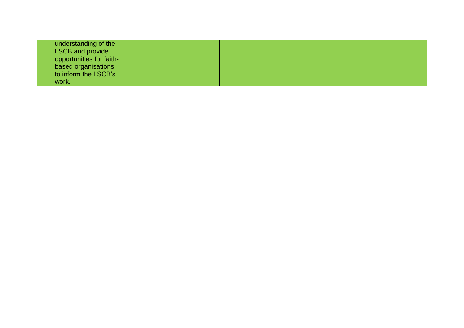| understanding of the     |  |  |
|--------------------------|--|--|
| <b>LSCB</b> and provide  |  |  |
| opportunities for faith- |  |  |
| based organisations      |  |  |
| to inform the LSCB's     |  |  |
| work.                    |  |  |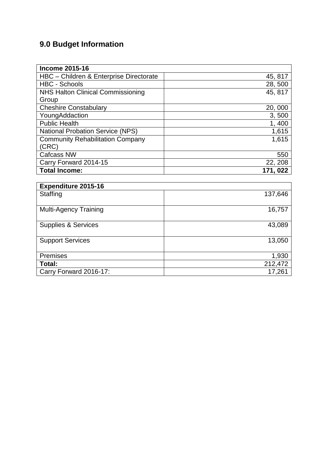# **9.0 Budget Information**

| <b>Income 2015-16</b>                    |          |
|------------------------------------------|----------|
| HBC - Children & Enterprise Directorate  | 45, 817  |
| <b>HBC - Schools</b>                     | 28,500   |
| <b>NHS Halton Clinical Commissioning</b> | 45, 817  |
| Group                                    |          |
| <b>Cheshire Constabulary</b>             | 20,000   |
| YoungAddaction                           | 3,500    |
| <b>Public Health</b>                     | 1,400    |
| <b>National Probation Service (NPS)</b>  | 1,615    |
| <b>Community Rehabilitation Company</b>  | 1,615    |
| (CRC)                                    |          |
| <b>Cafcass NW</b>                        | 550      |
| Carry Forward 2014-15                    | 22, 208  |
| <b>Total Income:</b>                     | 171, 022 |

| <b>Expenditure 2015-16</b>     |         |
|--------------------------------|---------|
| Staffing                       | 137,646 |
| <b>Multi-Agency Training</b>   | 16,757  |
| <b>Supplies &amp; Services</b> | 43,089  |
| <b>Support Services</b>        | 13,050  |
| <b>Premises</b>                | 1,930   |
| Total:                         | 212,472 |
| Carry Forward 2016-17:         | 17,261  |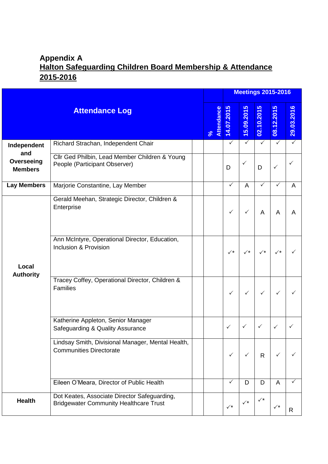## **Appendix A Halton Safeguarding Children Board Membership & Attendance 2015-2016**

|                                     |                                                                                               |                    |                      |                |                      | <b>Meetings 2015-2016</b> |                |
|-------------------------------------|-----------------------------------------------------------------------------------------------|--------------------|----------------------|----------------|----------------------|---------------------------|----------------|
|                                     | <b>Attendance Log</b>                                                                         | Attendance<br>$\%$ | 5<br>14.07.201       | 15.09.2015     | 02.10.2015           | 5<br>12.201<br>8          | ဖ<br>29.03.201 |
| Independent                         | Richard Strachan, Independent Chair                                                           |                    | $\checkmark$         | $\checkmark$   | $\checkmark$         | $\checkmark$              | $\checkmark$   |
| and<br>Overseeing<br><b>Members</b> | Cllr Ged Philbin, Lead Member Children & Young<br>People (Participant Observer)               |                    | D                    | $\checkmark$   | D                    | $\checkmark$              | ✓              |
| <b>Lay Members</b>                  | Marjorie Constantine, Lay Member                                                              |                    | ✓                    | A              | ✓                    | $\checkmark$              | $\overline{A}$ |
|                                     | Gerald Meehan, Strategic Director, Children &<br>Enterprise                                   |                    | $\checkmark$         | $\checkmark$   | A                    | A                         | A              |
| Local<br><b>Authority</b>           | Ann McIntyre, Operational Director, Education,<br>Inclusion & Provision                       |                    | $\checkmark^{\star}$ |                | $\checkmark^{\star}$ | $\checkmark^{\star}$      |                |
|                                     | Tracey Coffey, Operational Director, Children &<br>Families                                   |                    | $\checkmark$         | $\checkmark$   | $\checkmark$         | $\checkmark$              |                |
|                                     | Katherine Appleton, Senior Manager<br>Safeguarding & Quality Assurance                        |                    | ✓                    | $\checkmark$   | $\checkmark$         | $\checkmark$              |                |
|                                     | Lindsay Smith, Divisional Manager, Mental Health,<br><b>Communities Directorate</b>           |                    | $\checkmark$         | $\checkmark$   | $\mathsf{R}$         | $\checkmark$              |                |
|                                     | Eileen O'Meara, Director of Public Health                                                     |                    | ✓                    | D              | D                    | A                         | ✓              |
| <b>Health</b>                       | Dot Keates, Associate Director Safeguarding,<br><b>Bridgewater Community Healthcare Trust</b> |                    | $\checkmark^{\star}$ | $\checkmark^*$ | $\checkmark^*$       | $\checkmark^{\star}$      | R              |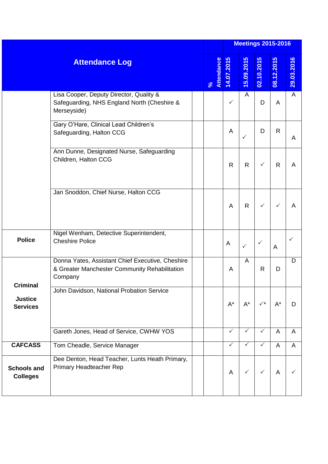| <b>Attendance Log</b>                         |                                                                                                              | <b>Meetings 2015-2016</b> |              |              |                |              |              |  |  |
|-----------------------------------------------|--------------------------------------------------------------------------------------------------------------|---------------------------|--------------|--------------|----------------|--------------|--------------|--|--|
|                                               |                                                                                                              | Attendance<br>$\sqrt{6}$  | 14.07.2015   | 15.09.2015   | 02.10.2015     | 08.12.2015   | 29.03.2016   |  |  |
|                                               | Lisa Cooper, Deputy Director, Quality &<br>Safeguarding, NHS England North (Cheshire &<br>Merseyside)        |                           | $\checkmark$ | A            | D              | A            | $\mathsf{A}$ |  |  |
|                                               | Gary O'Hare, Clinical Lead Children's<br>Safeguarding, Halton CCG                                            |                           | A            | $\checkmark$ | D              | $\mathsf{R}$ | A            |  |  |
|                                               | Ann Dunne, Designated Nurse, Safeguarding<br>Children, Halton CCG                                            |                           | R            | $\mathsf{R}$ | ✓              | $\mathsf{R}$ | A            |  |  |
|                                               | Jan Snoddon, Chief Nurse, Halton CCG                                                                         |                           | A            | $\mathsf{R}$ | $\checkmark$   | ✓            | A            |  |  |
| <b>Police</b>                                 | Nigel Wenham, Detective Superintendent,<br><b>Cheshire Police</b>                                            |                           | A            | $\checkmark$ | $\checkmark$   | A            | $\checkmark$ |  |  |
| Criminal<br><b>Justice</b><br><b>Services</b> | Donna Yates, Assistant Chief Executive, Cheshire<br>& Greater Manchester Community Rehabilitation<br>Company |                           | A            | A            | $\mathsf{R}$   | D            | D            |  |  |
|                                               | John Davidson, National Probation Service                                                                    |                           | $A^*$        | $A^*$        | $\checkmark^*$ | $A^*$        | D            |  |  |
|                                               | Gareth Jones, Head of Service, CWHW YOS                                                                      |                           | $\checkmark$ | ✓            | $\checkmark$   | A            | A            |  |  |
| <b>CAFCASS</b>                                | Tom Cheadle, Service Manager                                                                                 |                           | $\checkmark$ | ✓            | $\checkmark$   | A            | A            |  |  |
| <b>Schools and</b><br><b>Colleges</b>         | Dee Denton, Head Teacher, Lunts Heath Primary,<br>Primary Headteacher Rep                                    |                           | A            | $\checkmark$ | $\checkmark$   | A            | ✓            |  |  |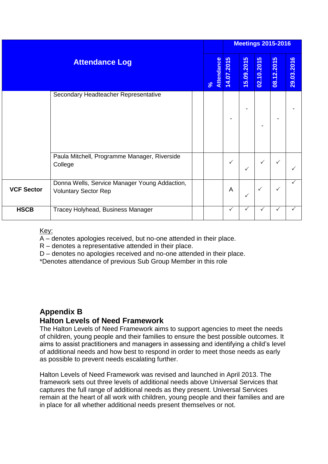|                       |                                                                              |  |                    | <b>Meetings 2015-2016</b> |              |              |            |            |  |
|-----------------------|------------------------------------------------------------------------------|--|--------------------|---------------------------|--------------|--------------|------------|------------|--|
| <b>Attendance Log</b> |                                                                              |  | Attendance<br>$\%$ | 14.07.2015                | 15.09.2015   | 02.10.2015   | 08.12.2015 | 29.03.2016 |  |
|                       | Secondary Headteacher Representative                                         |  |                    |                           |              |              |            |            |  |
|                       | Paula Mitchell, Programme Manager, Riverside<br>College                      |  |                    | $\checkmark$              | $\checkmark$ | ✓            | ✓          |            |  |
| <b>VCF Sector</b>     | Donna Wells, Service Manager Young Addaction,<br><b>Voluntary Sector Rep</b> |  |                    | A                         | $\checkmark$ | $\checkmark$ | ✓          |            |  |
| <b>HSCB</b>           | Tracey Holyhead, Business Manager                                            |  |                    | $\checkmark$              | $\checkmark$ | ✓            | ✓          | ✓          |  |

#### Key:

A – denotes apologies received, but no-one attended in their place.

R – denotes a representative attended in their place.

D – denotes no apologies received and no-one attended in their place.

\*Denotes attendance of previous Sub Group Member in this role

## **Appendix B**

#### **Halton Levels of Need Framework**

The Halton Levels of Need Framework aims to support agencies to meet the needs of children, young people and their families to ensure the best possible outcomes. It aims to assist practitioners and managers in assessing and identifying a child's level of additional needs and how best to respond in order to meet those needs as early as possible to prevent needs escalating further.

Halton Levels of Need Framework was revised and launched in April 2013. The framework sets out three levels of additional needs above Universal Services that captures the full range of additional needs as they present. Universal Services remain at the heart of all work with children, young people and their families and are in place for all whether additional needs present themselves or not.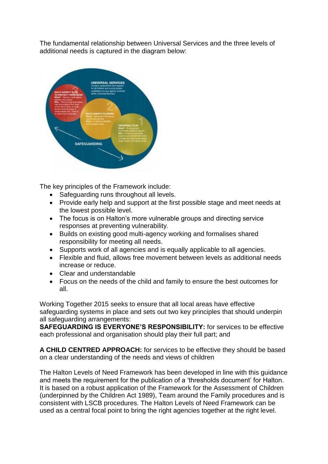The fundamental relationship between Universal Services and the three levels of additional needs is captured in the diagram below:



The key principles of the Framework include:

- Safeguarding runs throughout all levels.
- Provide early help and support at the first possible stage and meet needs at the lowest possible level.
- The focus is on Halton's more vulnerable groups and directing service responses at preventing vulnerability.
- Builds on existing good multi-agency working and formalises shared responsibility for meeting all needs.
- Supports work of all agencies and is equally applicable to all agencies.
- Flexible and fluid, allows free movement between levels as additional needs increase or reduce.
- Clear and understandable
- Focus on the needs of the child and family to ensure the best outcomes for all.

Working Together 2015 seeks to ensure that all local areas have effective safeguarding systems in place and sets out two key principles that should underpin all safeguarding arrangements:

**SAFEGUARDING IS EVERYONE'S RESPONSIBILITY:** for services to be effective each professional and organisation should play their full part; and

**A CHILD CENTRED APPROACH:** for services to be effective they should be based on a clear understanding of the needs and views of children

The Halton Levels of Need Framework has been developed in line with this guidance and meets the requirement for the publication of a 'thresholds document' for Halton. It is based on a robust application of the Framework for the Assessment of Children (underpinned by the Children Act 1989), Team around the Family procedures and is consistent with LSCB procedures. The Halton Levels of Need Framework can be used as a central focal point to bring the right agencies together at the right level.